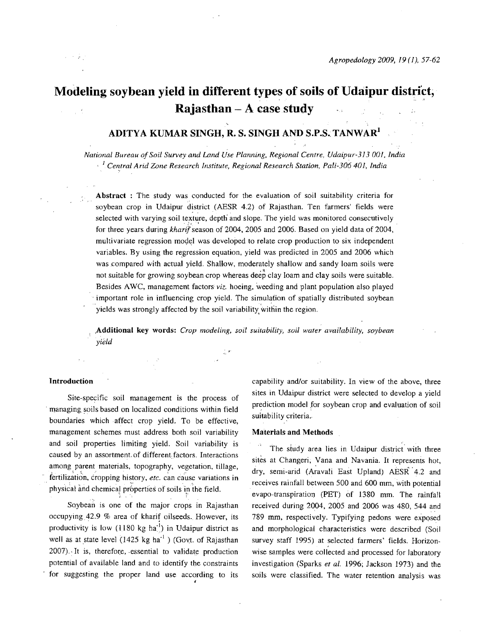# **Modeling soybean yield in different types of soils of Udaipur district, Rajasthan** - A case study

# ADITYA KUMAR SINGH, R. S. SINGH AND S.P.S. TANWAR<sup>1</sup>

*National Bureau of Soil Survey and Land Use Planning. Regional Centre, Udaipur-313 001, India*  <sup>1</sup> Central Arid Zone Research Institute, Regional Research Station, Pali-306 401, India

Abstract : The study was conducted for the evaluation of soil suitability criteria for soybean crop in Udaipur district (AESR 4.2) of Rajasthan. Ten farmers' fields were selected with varying soil texture, depth and slope. The yield was monitored consecutively for three years during kharif season of 2004, 2005 and 2006. Based on yield data of 2004, multivariate regression model was developed to relate crop production to six independent variables. By using the regression equation, yield was predicted in 2005 and 2006 which was compared with actual yield. Shallow, moderately shallow and sandy loam soils were not suitable for growing soybean crop whereas deep clay loam and clay soils were suitable. Besides AWC, management factors *viz.* hoeing, weeding and plant population also played . important role in intluencing crop yield. The simulation of spatially distributed soybean yields was strongly affected by the soil variability within the region.

,Additional key words: *Crop modeling, soil suitability, soil water availability, soybean yield* 

### Introduction

Site-specific soil management is the process of managing soils based on localized conditions within field boundaries which affect crop yield. To be effective, management schemes must address both soil variability and soil properties limiting yield. Soil variability is caused by an assortment of different factors. Interactions among parent materials, topography, vegetation, tillage, fertilization, cropping history, etc. can cause variations in physical and chemical properties of soils in the field.

Soybean is one of the major crops in Rajasthan occupying42.9 % area of kharif oilseeds. However, its productivity is low  $(1180 \text{ kg ha}^{-1})$  in Udaipur district as well as at state level  $(1425 \text{ kg ha}^{-1})$  (Govt. of Rajasthan  $2007$ . It is, therefore, essential to validate production potential of available land and to identify the constraints for suggesting the proper land use according to its capability and/or suitability. In view of the above, three sites in Udaipur district were selected to develop a yield prediction model for soybean crop and evaluation of soil suitability criteria.

#### Materials and Methods

The study area lies in Udaipur district with three sites at Changeri, Vana and Navania. It represents hot, dry, semi-arid (A~avali East Upland) AESR' 4.2 and receives rainfall between 500 and 600 mm, with potential evapo-transpiration (PET) of 1380 mm. The rainfall received during 2004, 2005 and 2006 was 480, 544 and 789 mm, respectively. Typifying pedons were exposed and morphological characteristics were described (Soil survey staff 1995) at selected farmers' fields. Horizonwise samples were collected and processed for laboratory investigation (Sparks *et al.* 1996; Jackson 1973) and the soils were classified. The water retention analysis was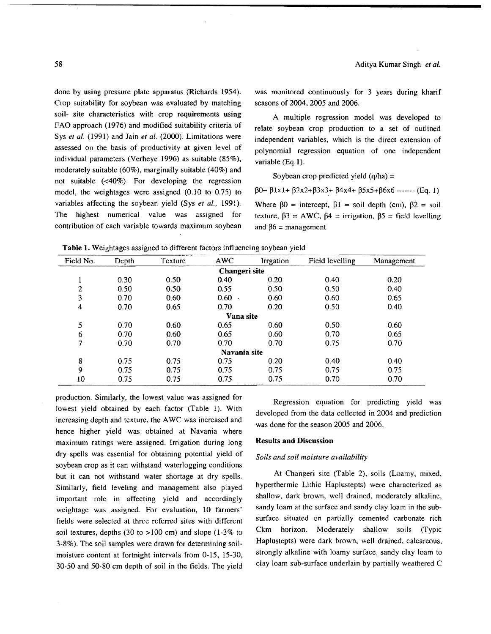done by using pressure plate apparatus (Richards 1954). Crop suitability for soybean was evaluated by matching soil- site characteristics with crop requirements using FAO approach (1976) and modified suitability criteria of Sys *et al.* (1991) and Jain *et al.* (2000). Limitations were assessed on the basis of productivity at given level of individual parameters (Verheye 1996) as suitable (85%). moderately suitable (60%), marginally suitable (40%) and not suitable  $( $40\%$ ). For developing the regression$ model. the weightages were assigned (0.10 to 0.75) to variables affecting the soybean yield (Sys *et aI., 1991).*  The highest numerical value was assigned for contribution of each variable towards maximum soybean

was monitored continuously for 3 years during kharif seasons of 2004, 2005 and 2006.

A multiple regression model was developed to relate soybean crop production to a set of outlined independent variables. which is the direct extension of polynomial regression equation of one independent variable (Eq.I).

Soybean crop predicted yield  $(q/ha) =$ 

 $\beta$ 0+  $\beta$ 1x1+  $\beta$ 2x2+ $\beta$ 3x3+  $\beta$ 4x4+  $\beta$ 5x5+ $\beta$ 6x6 ------- (Eq. 1) Where  $\beta 0$  = intercept,  $\beta 1$  = soil depth (cm),  $\beta 2$  = soil texture,  $\beta$ 3 = AWC,  $\beta$ 4 = irrigation,  $\beta$ 5 = field levelling and  $\beta$ 6 = management.

| Table 1. Weightages assigned to different factors influencing soybean yield |  |  |  |  |  |  |  |  |  |  |  |  |
|-----------------------------------------------------------------------------|--|--|--|--|--|--|--|--|--|--|--|--|
|-----------------------------------------------------------------------------|--|--|--|--|--|--|--|--|--|--|--|--|

| Field No.     | Depth | Texture | <b>AWC</b> | <b>Irrgation</b> | Field levelling | Management |  |  |  |  |  |
|---------------|-------|---------|------------|------------------|-----------------|------------|--|--|--|--|--|
| Changeri site |       |         |            |                  |                 |            |  |  |  |  |  |
|               | 0.30  | 0.50    | 0.40       | 0.20             | 0.40            | 0.20       |  |  |  |  |  |
| $\mathbf{2}$  | 0.50  | 0.50    | 0.55       | 0.50             | 0.50            | 0,40       |  |  |  |  |  |
| 3             | 0.70  | 0.60    | $0.60$ .   | 0.60             | 0.60            | 0.65       |  |  |  |  |  |
| 4             | 0.70  | 0.65    | 0.70       | 0.20             | 0.50            | 0.40       |  |  |  |  |  |
| Vana site     |       |         |            |                  |                 |            |  |  |  |  |  |
| 5             | 0.70  | 0.60    | 0.65       | 0.60             | 0.50            | 0.60       |  |  |  |  |  |
| 6             | 0.70  | 0.60    | 0.65       | 0.60             | 0.70            | 0.65       |  |  |  |  |  |
| 7             | 0.70  | 0.70    | 0.70       | 0.70             | 0.75            | 0.70       |  |  |  |  |  |
| Navania site  |       |         |            |                  |                 |            |  |  |  |  |  |
| 8             | 0.75  | 0.75    | 0.75       | 0.20             | 0.40            | 0.40       |  |  |  |  |  |
| 9             | 0.75  | 0.75    | 0.75       | 0.75             | 0.75            | 0.75       |  |  |  |  |  |
| 10            | 0.75  | 0.75    | 0.75       | 0.75             | 0.70            | 0.70       |  |  |  |  |  |

production. Similarly, the lowest value was assigned for lowest yield obtained by each factor (Table 1). With increasing depth and texture, the AWC was increased and hence higher yield was obtained at Navania where maximum ratings were assigned. Irrigation during long dry spells was essential for obtaining potential yield of soybean crop as it can withstand waterlogging conditions but it can not withstand water shortage at dry spells. Similarly, field leveling and management also played important role in affecting yield and accordingly weightage was assigned. For evaluation, 10 farmers' fields were selected at three referred sites with different soil textures, depths (30 to  $>100$  cm) and slope (1-3% to 3-8%). The soil samples were drawn for determining soilmoisture content at fortnight intervals from 0-15, 15-30. 30-50 and 50-80 cm depth of soil in the fields. The yield

Regression equation for predicting yield was developed from the data collected in 2004 and prediction was done for the season 2005 and 2006.

### Results and Discussion

#### *Soils and soil moisture availability*

At Changeri site (Table 2), soils (Loamy, mixed, hyperthermic Lithic Haplustepts) were characterized as shallow, dark brown. well drained, moderately alkaline, sandy loam at the surface and sandy clay loam in the subsurface situated on partially cemented carbonate rich Ckm horizon. Moderately shallow soils (Typic Haplustepts) were dark brown, well drained, calcareous, strongly alkaline with loamy surface, sandy clay loam to clay loam sub-surface underlain by partially weathered  $C$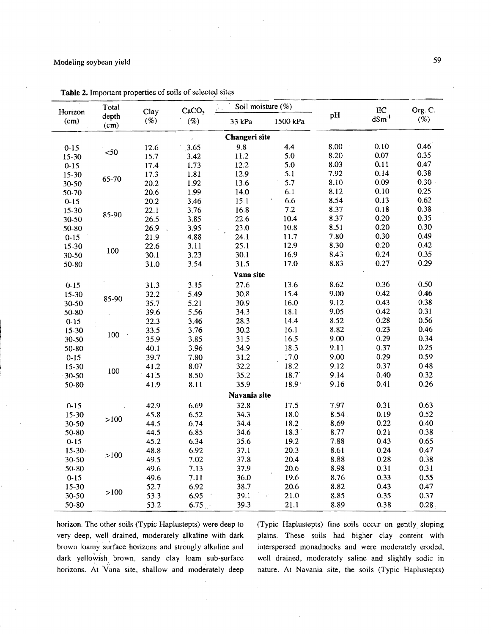# Modeling soybean yield 59

| Org. C.  |  |
|----------|--|
| (%)      |  |
|          |  |
| 0.46     |  |
| 0.35     |  |
| 0.47     |  |
| 0.38     |  |
| $0.30 +$ |  |
| 0.25     |  |
| 0.62     |  |
| 0.38     |  |
| 0.35     |  |
| 0.30     |  |
| 0.49     |  |
| 0.42     |  |
| 0.35     |  |
| 0.29     |  |
|          |  |
| 0.50     |  |
| 0.46     |  |
| 0.38     |  |
| 0.31     |  |
| 0.56     |  |
| 0.46     |  |
| 0.34     |  |
| 0.25     |  |
| 0.59     |  |
| 0.48     |  |
| 0.32     |  |
| 0.26     |  |
|          |  |
| 0.63     |  |
| 0.52     |  |
| 0.40     |  |
| 0.38     |  |
| 0.65     |  |
| 0.47     |  |
| 0.38     |  |
| 0.31     |  |
| 0.55     |  |
| 0.47     |  |
| 0.37     |  |
| 0.28.    |  |
|          |  |

Table 2. Important properties of soils of selected sites

horizon. The other soils (Typic Haplustepts) were deep to (Typic Haplustepts) fine soils occur on gently sloping very deep, well drained, moderately alkaline with dark plains. These soils had higher clay content with brown loamy surface horizons and strongly alkaline and interspersed monadnocks and were moderately eroded, dark yellowish brown, sandy clay loam sub-surface well drained, moderately saline and slightly sodic in horizons. At Vana site, shallow and moderately deep nature. At Navania site, the soils (Typic Haplustepts)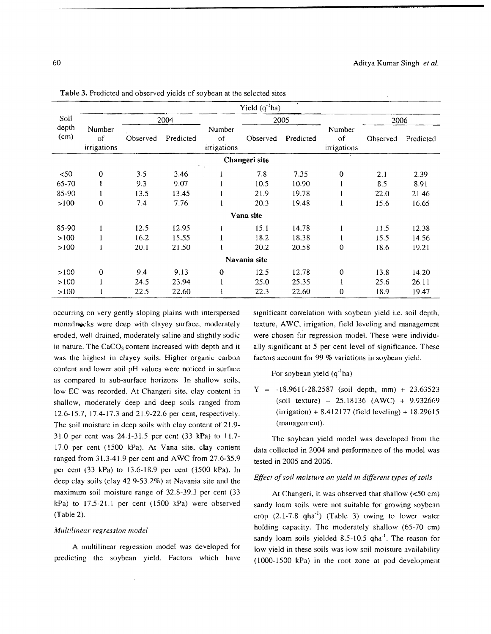|               |                             |          |           |                             | Yield $(q^4ha)$ |           |                             |          |           |  |  |  |
|---------------|-----------------------------|----------|-----------|-----------------------------|-----------------|-----------|-----------------------------|----------|-----------|--|--|--|
| Soil          |                             |          | 2004      |                             |                 | 2005      | Number<br>of<br>irrigations | 2006     |           |  |  |  |
| depth<br>(cm) | Number<br>of<br>irrigations | Observed | Predicted | Number<br>of<br>irrigations | Observed        | Predicted |                             | Observed | Predicted |  |  |  |
| Changeri site |                             |          |           |                             |                 |           |                             |          |           |  |  |  |
| < 50          | $\boldsymbol{0}$            | 3.5      | 3.46      |                             | 7.8             | 7.35      | $\bf{0}$                    | 2.1      | 2.39      |  |  |  |
| $65 - 70$     | ı                           | 9.3      | 9.07      |                             | 10.5            | 10.90     |                             | 8.5      | 8.91      |  |  |  |
| 85-90         |                             | 13.5     | 13.45     |                             | 21.9            | 19.78     |                             | 22.0     | 21.46     |  |  |  |
| >100          | 0                           | 7.4      | 7.76      |                             | 20.3            | 19.48     | 1                           | 15.6     | 16.65     |  |  |  |
| Vana site     |                             |          |           |                             |                 |           |                             |          |           |  |  |  |
| 85-90         | $\mathbf{I}$                | 12.5     | 12.95     |                             | 15.1            | 14.78     | $\mathbf{1}$                | 11.5     | 12.38     |  |  |  |
| >100          |                             | 16.2     | 15.55     | 1                           | 18.2            | 18.38     | -1                          | 15.5     | 14.56     |  |  |  |
| >100          |                             | 20.1     | 21.50     | 1                           | 20.2            | 20.58     | $\mathbf 0$                 | 18.6     | 19.21     |  |  |  |
| Navania site  |                             |          |           |                             |                 |           |                             |          |           |  |  |  |
| >100          | $\theta$                    | 9.4      | 9.13      | $\mathbf 0$                 | 12.5            | 12.78     | $\overline{0}$              | 13.8     | 14.20     |  |  |  |
| >100          |                             | 24.5     | 23.94     | ł.                          | 25.0            | 25.35     |                             | 25.6     | 26.11     |  |  |  |
| >100          |                             | 22.5     | 22.60     |                             | 22.3            | 22.60     | 0                           | 18.9     | 19.47     |  |  |  |

- .. ~ ..• - ~--------------------------

**Table** 3. Predicted and observed yields of soybean at the selected sites

occurring on very gently sloping plains with interspersed monadnocks were deep with clayey surface, moderately eroded, well drained, moderately saline and slightly sodic in nature. The CaCO<sub>3</sub> content increased with depth and it was the highest in clayey soils. Higher organic carbon content and lower soil pH values were noticed in surface as compared to sub-surface horizons. In shallow soils, low EC was recorded. At Changeri site, clay content in shallow, moderately deep and deep soils ranged from 12.6-15.7,17.4-17.3 and 21.9-22.6 per cent, respectively. The soil moisture in deep soils with clay content of 21.9- 31.0 per cent was 24.1-31.5 per cent (33 kPa) to 11.7- 17.0 per cent (1500 kPa). At Vana site, clay content ranged from 31.3-41.9 per cent and AWC from 27.6-35.9 per cent (33 kPa) to 13.6-18.9 per cent (1500 kPa). In deep clay soils (clay 42.9-53.2%) at Navania site and the maximum soil moisture range of 32.8-39.3 per cent (33 kPa) to 17.5-21.1 per cent (1500 kPa) were observed (Table 2).

### *Multilinear regression model*

A multilinear regression model was developed for predicting the soybean yield. Factors which have significant correlation with soybean yield i.e. soil depth, texture, A WC, irrigation, field leveling and management were chosen for regression model. These were individually significant at 5 per cent level of significance. These factors account for 99 % variations in soybean yield.

For soybean yield  $(q^{-1}ha)$ 

 $Y = -18.9611 - 28.2587$  (soil depth, mm) + 23.63523 (soil texture) + 25.18136 (AWe) + 9.932669  $(irrigation) + 8.412177 (field leveling) + 18.29615$ (management).

The soybean yield model was developed from the data collected in 2004 and performance of the model was tested in 2005 and 2006.

### *Effect of soil moisture on yield in different types of soils*

At Changeri, it was observed that shallow  $\left($ <50 cm) sandy loam soils were not suitable for growing soybean crop  $(2.1-7.8 \text{ qha}^{-1})$  (Table 3) owing to lower water holding capacity. The moderately shallow (65-70 cm) sandy loam soils yielded 8.5-10.5 qha<sup>-1</sup>. The reason for low yield in these soils was low soil moisture availability (1000-1500 kPa) in the root zone at pod development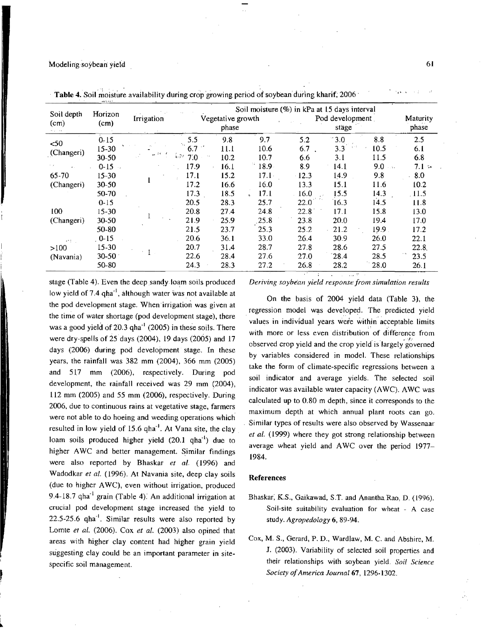### Modeling soybean yield 61

|            | end the s<br>Horizon | Irrigation | Soil moisture (%) in kPa at 15 days interval |                   |             |                  |        |                     |          |  |  |
|------------|----------------------|------------|----------------------------------------------|-------------------|-------------|------------------|--------|---------------------|----------|--|--|
| Soil depth |                      |            |                                              | Vegetative growth |             | Pod development. |        |                     | Maturity |  |  |
| (cm)       | (cm)                 |            |                                              | phase             |             |                  | stäge  |                     | phase    |  |  |
| $50$       | $0 - 15$             |            | 5.5                                          | 9.8               | 9.7         | 5.2              | $-3.0$ | 8.8                 | 2.5      |  |  |
| (Changeri) | $15 - 30$            |            | 6.7                                          | 11.1              | 10.6        | 6.7              | 3.3    | 10.5                | 6.1      |  |  |
|            | $30 - 50$            | $4.6 -$    | í, N<br>7.0                                  | 10.2              | 10.7        | 6.6              | 3.1    | 11.5                | 6.8      |  |  |
|            | $0 - 15 -$           |            | 17.9                                         | 16.1              | 74.<br>18.9 | 8.9              | 14.1   | 9.0<br>$\sim 1.4$ . | $7.1 -$  |  |  |
| 65-70      | $15 - 30$            |            | 17.1                                         | 15.2              | $17.1 -$    | $-12.3$          | 14.9   | 9.8                 | 8.0      |  |  |
| (Changeri) | $30 - 50$            |            | 17.2                                         | 16.6              | 16.0        | 13.3             | 15.1   | 11.6                | 10.2     |  |  |
|            | 50-70                |            | 17.3                                         | 18.5              | 17.1        | 16.0             | 15.5   | 14.3                | .11.5    |  |  |
|            | $0 - 15$             |            | 20.5                                         | 28.3              | 25.7        | 22.0             | 16.3   | 14.5                | 11.8     |  |  |
| 100        | $15-30$              |            | 20.8                                         | 27.4              | 24.8        | 22.8             | 17.1   | 15.8                | 13.0     |  |  |
| (Changeri) | $30-50$              |            | 21.9                                         | 25.9              | 25.8        | 23.8             | 20.0   | 19.4                | 17.0     |  |  |
|            | 50-80                |            | 21.5                                         | 23.7              | 25.3        | 25.2             | 21.2   | 19.9                | 17.2     |  |  |
| enti il    | $0 - 15$             |            | 20.6                                         | 36.1              | 33.0        | 26.4             | 30.9   | 26.0                | 22.1     |  |  |
| >100       | $15 - 30$            |            | 20.7                                         | 31.4              | 28.7        | 27.8             | 28.6   | 27.5                | 22.8     |  |  |
| (Navania)  | $30 - 50$            |            | 22.6                                         | 28.4              | 27.6        | 27.0             | 28.4   | 28.5                | 23.5     |  |  |
|            | 50-80                |            | 24.3                                         | 28.3              | 27.2        | 26.8             | 28.2   | 28.0                | 26.1     |  |  |

Table 4. Soil moisture availability during crop growing period of soybean during kharif; 2006

stage (Table 4). Even the deep sandy loam soils produced low yield of 7.4  $qha^{-1}$ , although water was not available at the pod development stage. When irrigation was given at the time of water shortage (pod development stage), there was a good yield of  $20.3$  qha $^{-1}$  (2005) in these soils. There were dry-spells of  $25$  days (2004), 19 days (2005) and 17 days (2006) during pod development stage. In these years, the rainfall was 382 mm (2004), 366 mm (2005) and 517 mm (2006), respectively. During pod development, the rainfall received was 29 mm (2004), 112 mm (2005) and 55 mm (2006), respectively. During 2006, due to continuous rains at vegetative stage, farmers were not able to do hoeing and weeding operations which resulted in low yield of 15.6 qha<sup>-1</sup>. At Vana site, the clay loam soils produced higher yield (20.1 qha<sup>-1</sup>) due to higher AWC and better management. Similar findings were also reported by Bhaskar *et* aL (1996) and Wadodkar et al. (1996). At Navania site, deep clay soils (due to higher A WC), even without irrigation, produced 9.4-18.7 qha'i grain (Table 4): An additional irrigation at crucial pod development stage increased the yield to 22.5-25.6 qha'i. Similar results were also reported by Lomte *et al.* (2006). Cox *et al.* (2003) also opined that areas with higher clay content had higher grain yield suggesting clay could be an important parameter in sitespecific soil management.

~

*Deriving soybean yield response from simulation results* 

On the basis of 2004 yield data (Table 3), the regression model was developed. The predicted yield values in individual years were within acceptable limits with more or less even distribution of difference from observed crop yield and the crop yield is largely governed by variables considered in model. These relationships take the form of climate-specific regressions between a soil indicator and average yields. The selected soil indicator was available water capacity (AWC). AWC was calculated up to 0.80 m depth, since it corresponds to the maximum depth at which annual plant roots can go. . Similar types of results were also observed by Wassenaar *et al.* (1999) where they got strong relationship between average wheat yield and AWC over the period 1977-1984.

### References

- Bhaskar, K.S., Gaikawad, S.T. and Anantha Rao, D. (1996). Soil-site suitability evaluation for wheat - A case study. *Agropedology* 6,89-94.
- Cox, M. S., Gerard, P. D., Wardlaw, M. C. and Abshire, M. J. (2003). Variability of selected soil properties and their relationships with soybean yield. *Soil Science Society of America Joumal67, 1296·1302.*